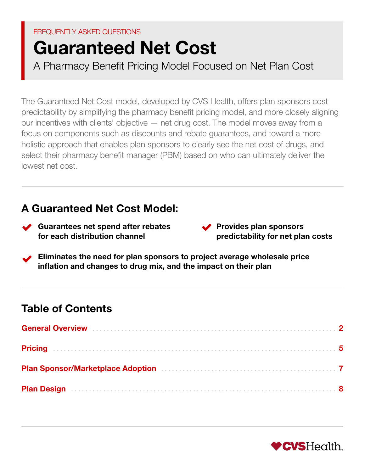# FREQUENTLY ASKED QUESTIONS

# Guaranteed Net Cost

A Pharmacy Benefit Pricing Model Focused on Net Plan Cost

The Guaranteed Net Cost model, developed by CVS Health, offers plan sponsors cost predictability by simplifying the pharmacy benefit pricing model, and more closely aligning our incentives with clients' objective — net drug cost. The model moves away from a focus on components such as discounts and rebate guarantees, and toward a more holistic approach that enables plan sponsors to clearly see the net cost of drugs, and select their pharmacy benefit manager (PBM) based on who can ultimately deliver the lowest net cost.

# A Guaranteed Net Cost Model:

- Guarantees net spend after rebates for each distribution channel
- $\blacktriangleright$  Provides plan sponsors predictability for net plan costs
- Eliminates the need for plan sponsors to project average wholesale price inflation and changes to drug mix, and the impact on their plan

# Table of Contents

| Plan Design (and the contract of the contract of the contract of the contract of the contract of the contract of the contract of the contract of the contract of the contract of the contract of the contract of the contract |  |
|-------------------------------------------------------------------------------------------------------------------------------------------------------------------------------------------------------------------------------|--|

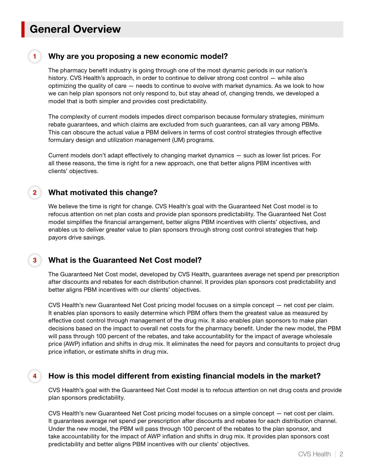# <span id="page-1-0"></span>General Overview

**1**

**4**

### Why are you proposing a new economic model?

The pharmacy benefit industry is going through one of the most dynamic periods in our nation's history. CVS Health's approach, in order to continue to deliver strong cost control — while also optimizing the quality of care — needs to continue to evolve with market dynamics. As we look to how we can help plan sponsors not only respond to, but stay ahead of, changing trends, we developed a model that is both simpler and provides cost predictability.

The complexity of current models impedes direct comparison because formulary strategies, minimum rebate guarantees, and which claims are excluded from such guarantees, can all vary among PBMs. This can obscure the actual value a PBM delivers in terms of cost control strategies through effective formulary design and utilization management (UM) programs.

Current models don't adapt effectively to changing market dynamics — such as lower list prices. For all these reasons, the time is right for a new approach, one that better aligns PBM incentives with clients' objectives.

#### What motivated this change? **2**

We believe the time is right for change. CVS Health's goal with the Guaranteed Net Cost model is to refocus attention on net plan costs and provide plan sponsors predictability. The Guaranteed Net Cost model simplifies the financial arrangement, better aligns PBM incentives with clients' objectives, and enables us to deliver greater value to plan sponsors through strong cost control strategies that help payors drive savings.

#### What is the Guaranteed Net Cost model? **3**

The Guaranteed Net Cost model, developed by CVS Health, guarantees average net spend per prescription after discounts and rebates for each distribution channel. It provides plan sponsors cost predictability and better aligns PBM incentives with our clients' objectives.

CVS Health's new Guaranteed Net Cost pricing model focuses on a simple concept — net cost per claim. It enables plan sponsors to easily determine which PBM offers them the greatest value as measured by effective cost control through management of the drug mix. It also enables plan sponsors to make plan decisions based on the impact to overall net costs for the pharmacy benefit. Under the new model, the PBM will pass through 100 percent of the rebates, and take accountability for the impact of average wholesale price (AWP) inflation and shifts in drug mix. It eliminates the need for payors and consultants to project drug price inflation, or estimate shifts in drug mix.

## How is this model different from existing financial models in the market?

CVS Health's goal with the Guaranteed Net Cost model is to refocus attention on net drug costs and provide plan sponsors predictability.

CVS Health's new Guaranteed Net Cost pricing model focuses on a simple concept — net cost per claim. It guarantees average net spend per prescription after discounts and rebates for each distribution channel. Under the new model, the PBM will pass through 100 percent of the rebates to the plan sponsor, and take accountability for the impact of AWP inflation and shifts in drug mix. It provides plan sponsors cost predictability and better aligns PBM incentives with our clients' objectives.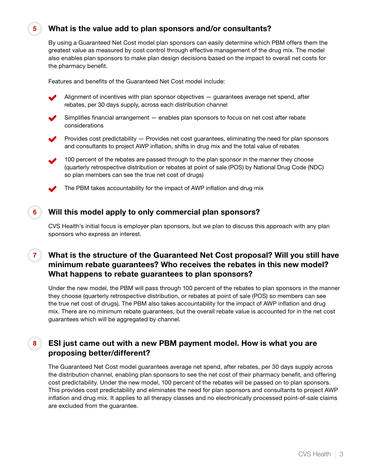# What is the value add to plan sponsors and/or consultants?

By using a Guaranteed Net Cost model plan sponsors can easily determine which PBM offers them the greatest value as measured by cost control through effective management of the drug mix. The model also enables plan sponsors to make plan design decisions based on the impact to overall net costs for the pharmacy benefit.

Features and benefits of the Guaranteed Net Cost model include:



**5**

**6**

Alignment of incentives with plan sponsor objectives — guarantees average net spend, after rebates, per 30 days supply, across each distribution channel

Simplifies financial arrangement — enables plan sponsors to focus on net cost after rebate considerations

**Provides cost predictability**  $-$  **Provides net cost guarantees, eliminating the need for plan sponsors** and consultants to project AWP inflation, shifts in drug mix and the total value of rebates

100 percent of the rebates are passed through to the plan sponsor in the manner they choose (quarterly retrospective distribution or rebates at point of sale (POS) by National Drug Code (NDC) so plan members can see the true net cost of drugs)

The PBM takes accountability for the impact of AWP inflation and drug mix

### Will this model apply to only commercial plan sponsors?

CVS Health's initial focus is employer plan sponsors, but we plan to discuss this approach with any plan sponsors who express an interest.

#### What is the structure of the Guaranteed Net Cost proposal? Will you still have minimum rebate guarantees? Who receives the rebates in this new model? What happens to rebate guarantees to plan sponsors? **7**

Under the new model, the PBM will pass through 100 percent of the rebates to plan sponsors in the manner they choose (quarterly retrospective distribution, or rebates at point of sale (POS) so members can see the true net cost of drugs). The PBM also takes accountability for the impact of AWP inflation and drug mix. There are no minimum rebate guarantees, but the overall rebate value is accounted for in the net cost guarantees which will be aggregated by channel.

#### ESI just came out with a new PBM payment model. How is what you are proposing better/different? **8**

The Guaranteed Net Cost model guarantees average net spend, after rebates, per 30 days supply across the distribution channel, enabling plan sponsors to see the net cost of their pharmacy benefit, and offering cost predictability. Under the new model, 100 percent of the rebates will be passed on to plan sponsors. This provides cost predictability and eliminates the need for plan sponsors and consultants to project AWP inflation and drug mix. It applies to all therapy classes and no electronically processed point-of-sale claims are excluded from the guarantee.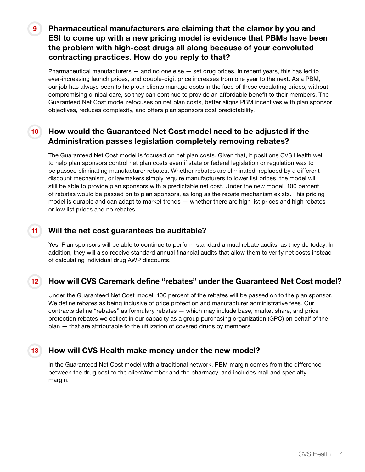Pharmaceutical manufacturers are claiming that the clamor by you and ESI to come up with a new pricing model is evidence that PBMs have been the problem with high-cost drugs all along because of your convoluted contracting practices. How do you reply to that?

Pharmaceutical manufacturers — and no one else — set drug prices. In recent years, this has led to ever-increasing launch prices, and double-digit price increases from one year to the next. As a PBM, our job has always been to help our clients manage costs in the face of these escalating prices, without compromising clinical care, so they can continue to provide an affordable benefit to their members. The Guaranteed Net Cost model refocuses on net plan costs, better aligns PBM incentives with plan sponsor objectives, reduces complexity, and offers plan sponsors cost predictability.

#### How would the Guaranteed Net Cost model need to be adjusted if the Administration passes legislation completely removing rebates? **10**

The Guaranteed Net Cost model is focused on net plan costs. Given that, it positions CVS Health well to help plan sponsors control net plan costs even if state or federal legislation or regulation was to be passed eliminating manufacturer rebates. Whether rebates are eliminated, replaced by a different discount mechanism, or lawmakers simply require manufacturers to lower list prices, the model will still be able to provide plan sponsors with a predictable net cost. Under the new model, 100 percent of rebates would be passed on to plan sponsors, as long as the rebate mechanism exists. This pricing model is durable and can adapt to market trends — whether there are high list prices and high rebates or low list prices and no rebates.

#### Will the net cost guarantees be auditable? **11**

**9**

**13**

Yes. Plan sponsors will be able to continue to perform standard annual rebate audits, as they do today. In addition, they will also receive standard annual financial audits that allow them to verify net costs instead of calculating individual drug AWP discounts.

#### How will CVS Caremark define "rebates" under the Guaranteed Net Cost model? **12**

Under the Guaranteed Net Cost model, 100 percent of the rebates will be passed on to the plan sponsor. We define rebates as being inclusive of price protection and manufacturer administrative fees. Our contracts define "rebates" as formulary rebates — which may include base, market share, and price protection rebates we collect in our capacity as a group purchasing organization (GPO) on behalf of the plan — that are attributable to the utilization of covered drugs by members.

## How will CVS Health make money under the new model?

In the Guaranteed Net Cost model with a traditional network, PBM margin comes from the difference between the drug cost to the client/member and the pharmacy, and includes mail and specialty margin.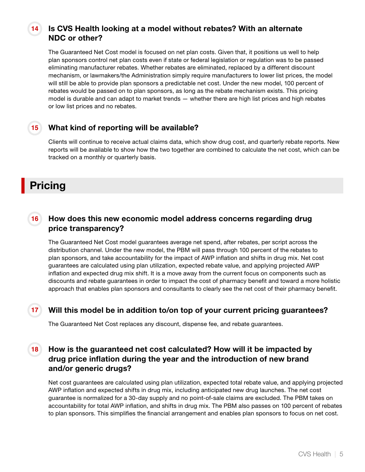#### Is CVS Health looking at a model without rebates? With an alternate NDC or other? **14**

The Guaranteed Net Cost model is focused on net plan costs. Given that, it positions us well to help plan sponsors control net plan costs even if state or federal legislation or regulation was to be passed eliminating manufacturer rebates. Whether rebates are eliminated, replaced by a different discount mechanism, or lawmakers/the Administration simply require manufacturers to lower list prices, the model will still be able to provide plan sponsors a predictable net cost. Under the new model, 100 percent of rebates would be passed on to plan sponsors, as long as the rebate mechanism exists. This pricing model is durable and can adapt to market trends — whether there are high list prices and high rebates or low list prices and no rebates.

#### What kind of reporting will be available? **15**

Clients will continue to receive actual claims data, which show drug cost, and quarterly rebate reports. New reports will be available to show how the two together are combined to calculate the net cost, which can be tracked on a monthly or quarterly basis.

# <span id="page-4-0"></span>Pricing

#### How does this new economic model address concerns regarding drug price transparency? **16**

The Guaranteed Net Cost model guarantees average net spend, after rebates, per script across the distribution channel. Under the new model, the PBM will pass through 100 percent of the rebates to plan sponsors, and take accountability for the impact of AWP inflation and shifts in drug mix. Net cost guarantees are calculated using plan utilization, expected rebate value, and applying projected AWP inflation and expected drug mix shift. It is a move away from the current focus on components such as discounts and rebate guarantees in order to impact the cost of pharmacy benefit and toward a more holistic approach that enables plan sponsors and consultants to clearly see the net cost of their pharmacy benefit.

## **17**

## Will this model be in addition to/on top of your current pricing guarantees?

The Guaranteed Net Cost replaces any discount, dispense fee, and rebate guarantees.

#### How is the guaranteed net cost calculated? How will it be impacted by drug price inflation during the year and the introduction of new brand and/or generic drugs? **18**

Net cost guarantees are calculated using plan utilization, expected total rebate value, and applying projected AWP inflation and expected shifts in drug mix, including anticipated new drug launches. The net cost guarantee is normalized for a 30-day supply and no point-of-sale claims are excluded. The PBM takes on accountability for total AWP inflation, and shifts in drug mix. The PBM also passes on 100 percent of rebates to plan sponsors. This simplifies the financial arrangement and enables plan sponsors to focus on net cost.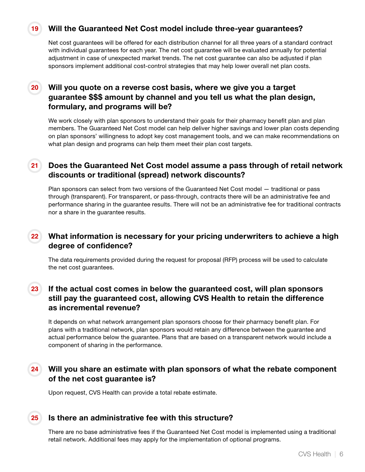# Will the Guaranteed Net Cost model include three-year guarantees?

Net cost guarantees will be offered for each distribution channel for all three years of a standard contract with individual guarantees for each year. The net cost guarantee will be evaluated annually for potential adjustment in case of unexpected market trends. The net cost guarantee can also be adjusted if plan sponsors implement additional cost-control strategies that may help lower overall net plan costs.

#### Will you quote on a reverse cost basis, where we give you a target guarantee \$\$\$ amount by channel and you tell us what the plan design, formulary, and programs will be? **20**

We work closely with plan sponsors to understand their goals for their pharmacy benefit plan and plan members. The Guaranteed Net Cost model can help deliver higher savings and lower plan costs depending on plan sponsors' willingness to adopt key cost management tools, and we can make recommendations on what plan design and programs can help them meet their plan cost targets.

#### Does the Guaranteed Net Cost model assume a pass through of retail network discounts or traditional (spread) network discounts? **21**

Plan sponsors can select from two versions of the Guaranteed Net Cost model — traditional or pass through (transparent). For transparent, or pass-through, contracts there will be an administrative fee and performance sharing in the guarantee results. There will not be an administrative fee for traditional contracts nor a share in the guarantee results.

#### What information is necessary for your pricing underwriters to achieve a high degree of confidence? **22**

The data requirements provided during the request for proposal (RFP) process will be used to calculate the net cost guarantees.

#### If the actual cost comes in below the guaranteed cost, will plan sponsors still pay the guaranteed cost, allowing CVS Health to retain the difference as incremental revenue? **23**

It depends on what network arrangement plan sponsors choose for their pharmacy benefit plan. For plans with a traditional network, plan sponsors would retain any difference between the guarantee and actual performance below the guarantee. Plans that are based on a transparent network would include a component of sharing in the performance.

#### Will you share an estimate with plan sponsors of what the rebate component of the net cost guarantee is? **24**

Upon request, CVS Health can provide a total rebate estimate.

**25**

**19**

# Is there an administrative fee with this structure?

There are no base administrative fees if the Guaranteed Net Cost model is implemented using a traditional retail network. Additional fees may apply for the implementation of optional programs.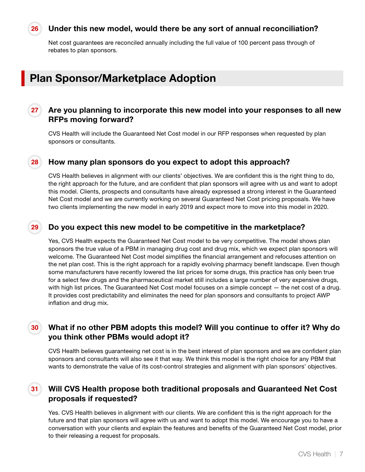## Under this new model, would there be any sort of annual reconciliation?

Net cost guarantees are reconciled annually including the full value of 100 percent pass through of rebates to plan sponsors.

# <span id="page-6-0"></span>Plan Sponsor/Marketplace Adoption

**26**

#### Are you planning to incorporate this new model into your responses to all new RFPs moving forward? **27**

CVS Health will include the Guaranteed Net Cost model in our RFP responses when requested by plan sponsors or consultants.

#### How many plan sponsors do you expect to adopt this approach? **28**

CVS Health believes in alignment with our clients' objectives. We are confident this is the right thing to do, the right approach for the future, and are confident that plan sponsors will agree with us and want to adopt this model. Clients, prospects and consultants have already expressed a strong interest in the Guaranteed Net Cost model and we are currently working on several Guaranteed Net Cost pricing proposals. We have two clients implementing the new model in early 2019 and expect more to move into this model in 2020.

#### Do you expect this new model to be competitive in the marketplace? **29**

Yes, CVS Health expects the Guaranteed Net Cost model to be very competitive. The model shows plan sponsors the true value of a PBM in managing drug cost and drug mix, which we expect plan sponsors will welcome. The Guaranteed Net Cost model simplifies the financial arrangement and refocuses attention on the net plan cost. This is the right approach for a rapidly evolving pharmacy benefit landscape. Even though some manufacturers have recently lowered the list prices for some drugs, this practice has only been true for a select few drugs and the pharmaceutical market still includes a large number of very expensive drugs, with high list prices. The Guaranteed Net Cost model focuses on a simple concept – the net cost of a drug. It provides cost predictability and eliminates the need for plan sponsors and consultants to project AWP inflation and drug mix.

#### What if no other PBM adopts this model? Will you continue to offer it? Why do you think other PBMs would adopt it? **30**

CVS Health believes guaranteeing net cost is in the best interest of plan sponsors and we are confident plan sponsors and consultants will also see it that way. We think this model is the right choice for any PBM that wants to demonstrate the value of its cost-control strategies and alignment with plan sponsors' objectives.

#### Will CVS Health propose both traditional proposals and Guaranteed Net Cost proposals if requested? **31**

Yes. CVS Health believes in alignment with our clients. We are confident this is the right approach for the future and that plan sponsors will agree with us and want to adopt this model. We encourage you to have a conversation with your clients and explain the features and benefits of the Guaranteed Net Cost model, prior to their releasing a request for proposals.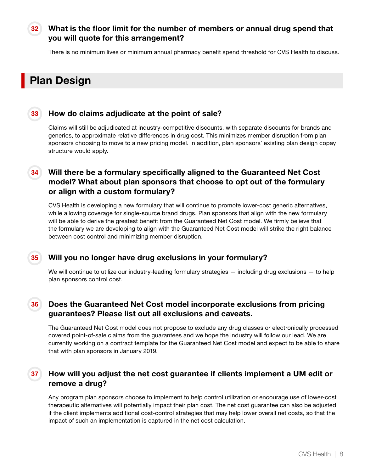#### What is the floor limit for the number of members or annual drug spend that you will quote for this arrangement? **32**

There is no minimum lives or minimum annual pharmacy benefit spend threshold for CVS Health to discuss.

# <span id="page-7-0"></span>Plan Design

### **33**

**35**

# How do claims adjudicate at the point of sale?

Claims will still be adjudicated at industry-competitive discounts, with separate discounts for brands and generics, to approximate relative differences in drug cost. This minimizes member disruption from plan sponsors choosing to move to a new pricing model. In addition, plan sponsors' existing plan design copay structure would apply.

#### Will there be a formulary specifically aligned to the Guaranteed Net Cost model? What about plan sponsors that choose to opt out of the formulary or align with a custom formulary? **34**

CVS Health is developing a new formulary that will continue to promote lower-cost generic alternatives, while allowing coverage for single-source brand drugs. Plan sponsors that align with the new formulary will be able to derive the greatest benefit from the Guaranteed Net Cost model. We firmly believe that the formulary we are developing to align with the Guaranteed Net Cost model will strike the right balance between cost control and minimizing member disruption.

# Will you no longer have drug exclusions in your formulary?

We will continue to utilize our industry-leading formulary strategies — including drug exclusions — to help plan sponsors control cost.

#### Does the Guaranteed Net Cost model incorporate exclusions from pricing guarantees? Please list out all exclusions and caveats. **36**

The Guaranteed Net Cost model does not propose to exclude any drug classes or electronically processed covered point-of-sale claims from the guarantees and we hope the industry will follow our lead. We are currently working on a contract template for the Guaranteed Net Cost model and expect to be able to share that with plan sponsors in January 2019.

#### How will you adjust the net cost guarantee if clients implement a UM edit or remove a drug? **37**

Any program plan sponsors choose to implement to help control utilization or encourage use of lower-cost therapeutic alternatives will potentially impact their plan cost. The net cost guarantee can also be adjusted if the client implements additional cost-control strategies that may help lower overall net costs, so that the impact of such an implementation is captured in the net cost calculation.